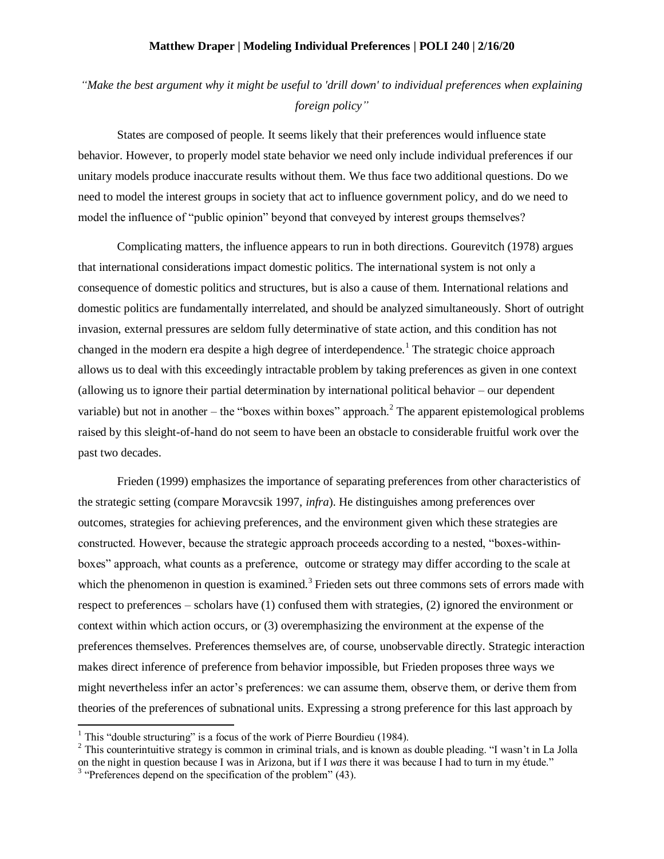## **Matthew Draper | Modeling Individual Preferences | POLI 240 | 2/16/20**

## *"Make the best argument why it might be useful to 'drill down' to individual preferences when explaining foreign policy"*

States are composed of people. It seems likely that their preferences would influence state behavior. However, to properly model state behavior we need only include individual preferences if our unitary models produce inaccurate results without them. We thus face two additional questions. Do we need to model the interest groups in society that act to influence government policy, and do we need to model the influence of "public opinion" beyond that conveyed by interest groups themselves?

Complicating matters, the influence appears to run in both directions. Gourevitch (1978) argues that international considerations impact domestic politics. The international system is not only a consequence of domestic politics and structures, but is also a cause of them. International relations and domestic politics are fundamentally interrelated, and should be analyzed simultaneously. Short of outright invasion, external pressures are seldom fully determinative of state action, and this condition has not changed in the modern era despite a high degree of interdependence.<sup>1</sup> The strategic choice approach allows us to deal with this exceedingly intractable problem by taking preferences as given in one context (allowing us to ignore their partial determination by international political behavior – our dependent variable) but not in another – the "boxes within boxes" approach.<sup>2</sup> The apparent epistemological problems raised by this sleight-of-hand do not seem to have been an obstacle to considerable fruitful work over the past two decades.

Frieden (1999) emphasizes the importance of separating preferences from other characteristics of the strategic setting (compare Moravcsik 1997, *infra*). He distinguishes among preferences over outcomes, strategies for achieving preferences, and the environment given which these strategies are constructed. However, because the strategic approach proceeds according to a nested, "boxes-withinboxes" approach, what counts as a preference, outcome or strategy may differ according to the scale at which the phenomenon in question is examined.<sup>3</sup> Frieden sets out three commons sets of errors made with respect to preferences – scholars have (1) confused them with strategies, (2) ignored the environment or context within which action occurs, or (3) overemphasizing the environment at the expense of the preferences themselves. Preferences themselves are, of course, unobservable directly. Strategic interaction makes direct inference of preference from behavior impossible, but Frieden proposes three ways we might nevertheless infer an actor's preferences: we can assume them, observe them, or derive them from theories of the preferences of subnational units. Expressing a strong preference for this last approach by

 $\overline{\phantom{a}}$ 

<sup>&</sup>lt;sup>1</sup> This "double structuring" is a focus of the work of Pierre Bourdieu (1984).

<sup>&</sup>lt;sup>2</sup> This counterintuitive strategy is common in criminal trials, and is known as double pleading. "I wasn't in La Jolla on the night in question because I was in Arizona, but if I *was* there it was because I had to turn in my étude."

<sup>&</sup>lt;sup>3</sup> "Preferences depend on the specification of the problem" (43).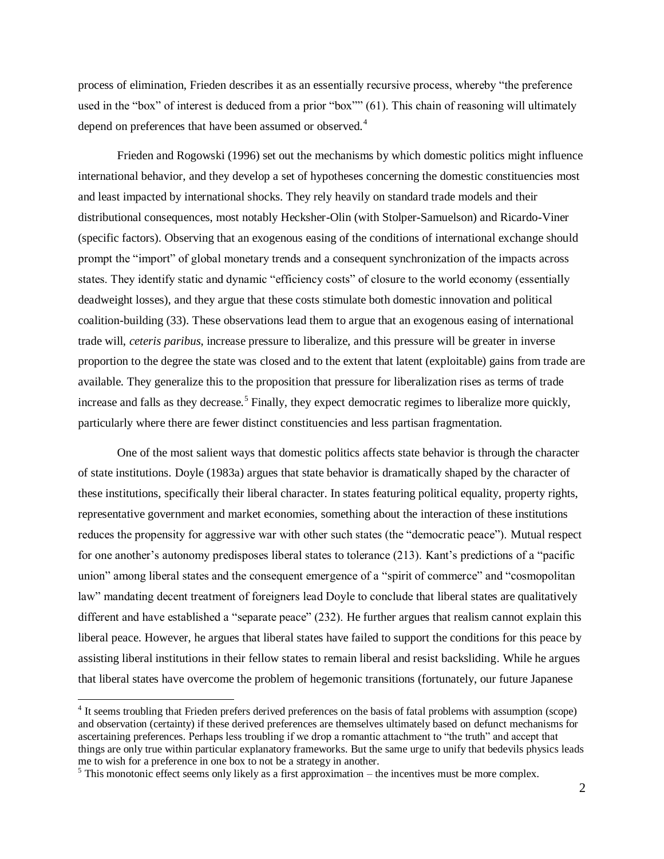process of elimination, Frieden describes it as an essentially recursive process, whereby "the preference used in the "box" of interest is deduced from a prior "box"" (61). This chain of reasoning will ultimately depend on preferences that have been assumed or observed.<sup>4</sup>

Frieden and Rogowski (1996) set out the mechanisms by which domestic politics might influence international behavior, and they develop a set of hypotheses concerning the domestic constituencies most and least impacted by international shocks. They rely heavily on standard trade models and their distributional consequences, most notably Hecksher-Olin (with Stolper-Samuelson) and Ricardo-Viner (specific factors). Observing that an exogenous easing of the conditions of international exchange should prompt the "import" of global monetary trends and a consequent synchronization of the impacts across states. They identify static and dynamic "efficiency costs" of closure to the world economy (essentially deadweight losses), and they argue that these costs stimulate both domestic innovation and political coalition-building (33). These observations lead them to argue that an exogenous easing of international trade will, *ceteris paribus*, increase pressure to liberalize, and this pressure will be greater in inverse proportion to the degree the state was closed and to the extent that latent (exploitable) gains from trade are available. They generalize this to the proposition that pressure for liberalization rises as terms of trade increase and falls as they decrease.<sup>5</sup> Finally, they expect democratic regimes to liberalize more quickly, particularly where there are fewer distinct constituencies and less partisan fragmentation.

One of the most salient ways that domestic politics affects state behavior is through the character of state institutions. Doyle (1983a) argues that state behavior is dramatically shaped by the character of these institutions, specifically their liberal character. In states featuring political equality, property rights, representative government and market economies, something about the interaction of these institutions reduces the propensity for aggressive war with other such states (the "democratic peace"). Mutual respect for one another's autonomy predisposes liberal states to tolerance (213). Kant's predictions of a "pacific union" among liberal states and the consequent emergence of a "spirit of commerce" and "cosmopolitan law" mandating decent treatment of foreigners lead Doyle to conclude that liberal states are qualitatively different and have established a "separate peace" (232). He further argues that realism cannot explain this liberal peace. However, he argues that liberal states have failed to support the conditions for this peace by assisting liberal institutions in their fellow states to remain liberal and resist backsliding. While he argues that liberal states have overcome the problem of hegemonic transitions (fortunately, our future Japanese

 $\overline{\phantom{a}}$ 

<sup>&</sup>lt;sup>4</sup> It seems troubling that Frieden prefers derived preferences on the basis of fatal problems with assumption (scope) and observation (certainty) if these derived preferences are themselves ultimately based on defunct mechanisms for ascertaining preferences. Perhaps less troubling if we drop a romantic attachment to "the truth" and accept that things are only true within particular explanatory frameworks. But the same urge to unify that bedevils physics leads me to wish for a preference in one box to not be a strategy in another.

 $<sup>5</sup>$  This monotonic effect seems only likely as a first approximation – the incentives must be more complex.</sup>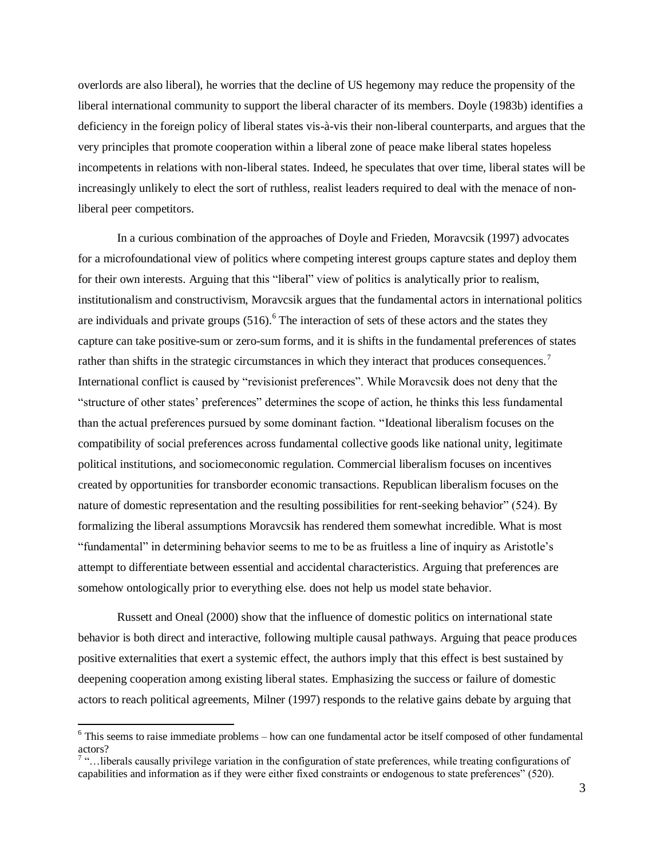overlords are also liberal), he worries that the decline of US hegemony may reduce the propensity of the liberal international community to support the liberal character of its members. Doyle (1983b) identifies a deficiency in the foreign policy of liberal states vis-à-vis their non-liberal counterparts, and argues that the very principles that promote cooperation within a liberal zone of peace make liberal states hopeless incompetents in relations with non-liberal states. Indeed, he speculates that over time, liberal states will be increasingly unlikely to elect the sort of ruthless, realist leaders required to deal with the menace of nonliberal peer competitors.

In a curious combination of the approaches of Doyle and Frieden, Moravcsik (1997) advocates for a microfoundational view of politics where competing interest groups capture states and deploy them for their own interests. Arguing that this "liberal" view of politics is analytically prior to realism, institutionalism and constructivism, Moravcsik argues that the fundamental actors in international politics are individuals and private groups  $(516)$ .<sup>6</sup> The interaction of sets of these actors and the states they capture can take positive-sum or zero-sum forms, and it is shifts in the fundamental preferences of states rather than shifts in the strategic circumstances in which they interact that produces consequences.<sup>7</sup> International conflict is caused by "revisionist preferences". While Moravcsik does not deny that the "structure of other states' preferences" determines the scope of action, he thinks this less fundamental than the actual preferences pursued by some dominant faction. "Ideational liberalism focuses on the compatibility of social preferences across fundamental collective goods like national unity, legitimate political institutions, and sociomeconomic regulation. Commercial liberalism focuses on incentives created by opportunities for transborder economic transactions. Republican liberalism focuses on the nature of domestic representation and the resulting possibilities for rent-seeking behavior" (524). By formalizing the liberal assumptions Moravcsik has rendered them somewhat incredible. What is most "fundamental" in determining behavior seems to me to be as fruitless a line of inquiry as Aristotle's attempt to differentiate between essential and accidental characteristics. Arguing that preferences are somehow ontologically prior to everything else. does not help us model state behavior.

Russett and Oneal (2000) show that the influence of domestic politics on international state behavior is both direct and interactive, following multiple causal pathways. Arguing that peace produces positive externalities that exert a systemic effect, the authors imply that this effect is best sustained by deepening cooperation among existing liberal states. Emphasizing the success or failure of domestic actors to reach political agreements, Milner (1997) responds to the relative gains debate by arguing that

 $\overline{a}$ 

<sup>6</sup> This seems to raise immediate problems – how can one fundamental actor be itself composed of other fundamental actors?

 $7$  "... liberals causally privilege variation in the configuration of state preferences, while treating configurations of capabilities and information as if they were either fixed constraints or endogenous to state preferences" (520).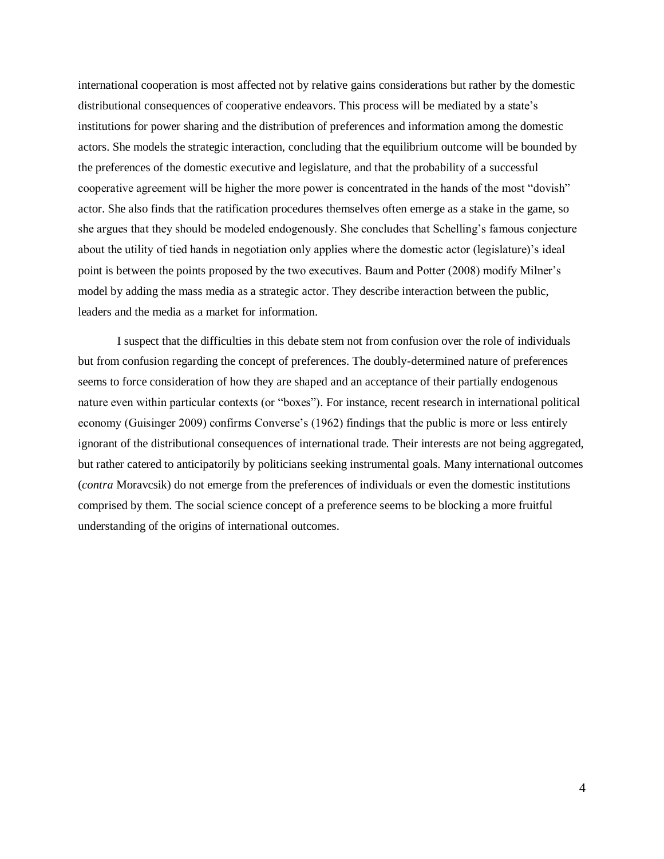international cooperation is most affected not by relative gains considerations but rather by the domestic distributional consequences of cooperative endeavors. This process will be mediated by a state's institutions for power sharing and the distribution of preferences and information among the domestic actors. She models the strategic interaction, concluding that the equilibrium outcome will be bounded by the preferences of the domestic executive and legislature, and that the probability of a successful cooperative agreement will be higher the more power is concentrated in the hands of the most "dovish" actor. She also finds that the ratification procedures themselves often emerge as a stake in the game, so she argues that they should be modeled endogenously. She concludes that Schelling's famous conjecture about the utility of tied hands in negotiation only applies where the domestic actor (legislature)'s ideal point is between the points proposed by the two executives. Baum and Potter (2008) modify Milner's model by adding the mass media as a strategic actor. They describe interaction between the public, leaders and the media as a market for information.

I suspect that the difficulties in this debate stem not from confusion over the role of individuals but from confusion regarding the concept of preferences. The doubly-determined nature of preferences seems to force consideration of how they are shaped and an acceptance of their partially endogenous nature even within particular contexts (or "boxes"). For instance, recent research in international political economy (Guisinger 2009) confirms Converse's (1962) findings that the public is more or less entirely ignorant of the distributional consequences of international trade. Their interests are not being aggregated, but rather catered to anticipatorily by politicians seeking instrumental goals. Many international outcomes (*contra* Moravcsik) do not emerge from the preferences of individuals or even the domestic institutions comprised by them. The social science concept of a preference seems to be blocking a more fruitful understanding of the origins of international outcomes.